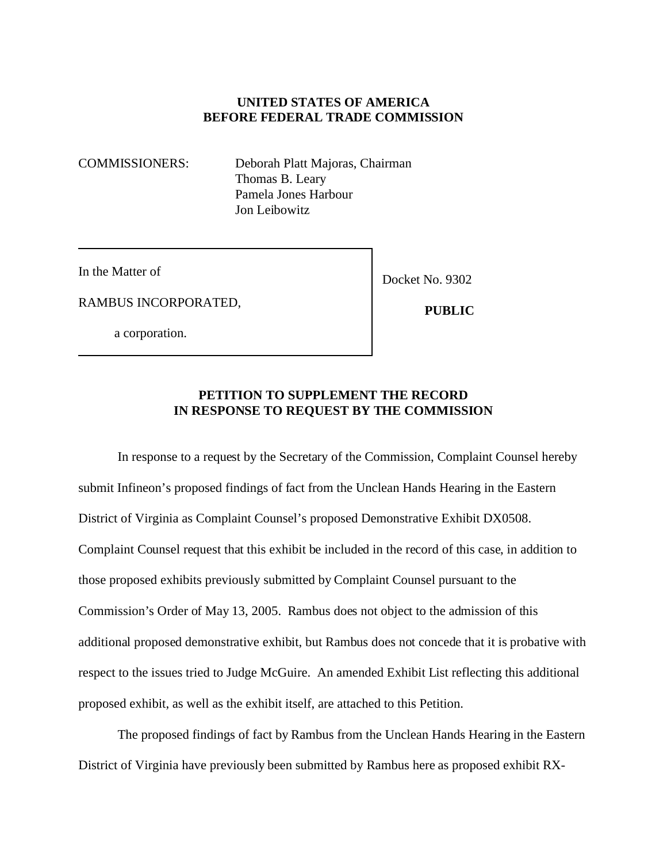## **UNITED STATES OF AMERICA BEFORE FEDERAL TRADE COMMISSION**

COMMISSIONERS: Deborah Platt Majoras, Chairman Thomas B. Leary Pamela Jones Harbour Jon Leibowitz

In the Matter of

RAMBUS INCORPORATED,

a corporation.

Docket No. 9302

 **PUBLIC**

## **PETITION TO SUPPLEMENT THE RECORD IN RESPONSE TO REQUEST BY THE COMMISSION**

In response to a request by the Secretary of the Commission, Complaint Counsel hereby submit Infineon's proposed findings of fact from the Unclean Hands Hearing in the Eastern District of Virginia as Complaint Counsel's proposed Demonstrative Exhibit DX0508. Complaint Counsel request that this exhibit be included in the record of this case, in addition to those proposed exhibits previously submitted by Complaint Counsel pursuant to the Commission's Order of May 13, 2005. Rambus does not object to the admission of this additional proposed demonstrative exhibit, but Rambus does not concede that it is probative with respect to the issues tried to Judge McGuire. An amended Exhibit List reflecting this additional proposed exhibit, as well as the exhibit itself, are attached to this Petition.

The proposed findings of fact by Rambus from the Unclean Hands Hearing in the Eastern District of Virginia have previously been submitted by Rambus here as proposed exhibit RX-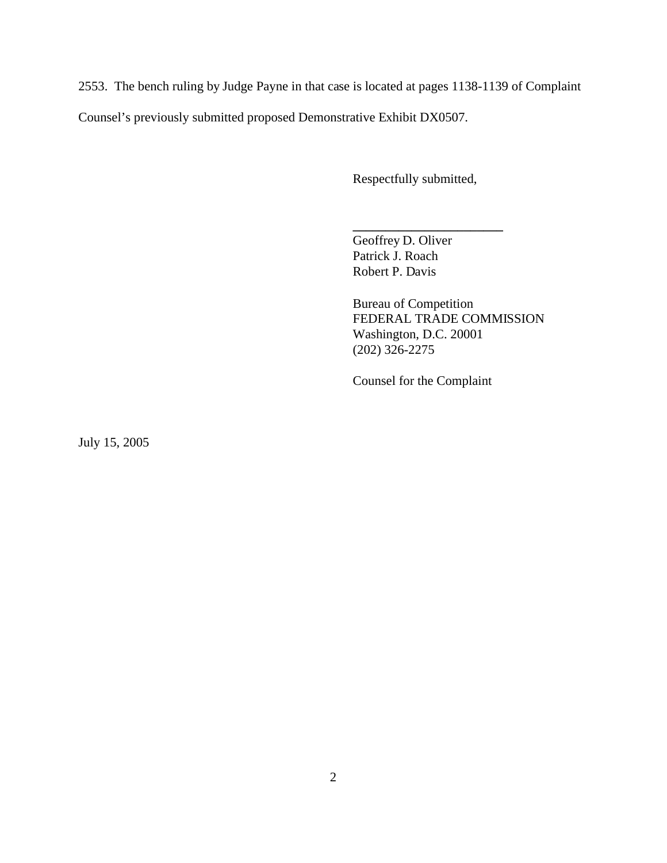2553. The bench ruling by Judge Payne in that case is located at pages 1138-1139 of Complaint

Counsel's previously submitted proposed Demonstrative Exhibit DX0507.

Respectfully submitted,

**\_\_\_\_\_\_\_\_\_\_\_\_\_\_\_\_\_\_\_\_\_\_\_** 

Geoffrey D. Oliver Patrick J. Roach Robert P. Davis

Bureau of Competition FEDERAL TRADE COMMISSION Washington, D.C. 20001 (202) 326-2275

Counsel for the Complaint

July 15, 2005